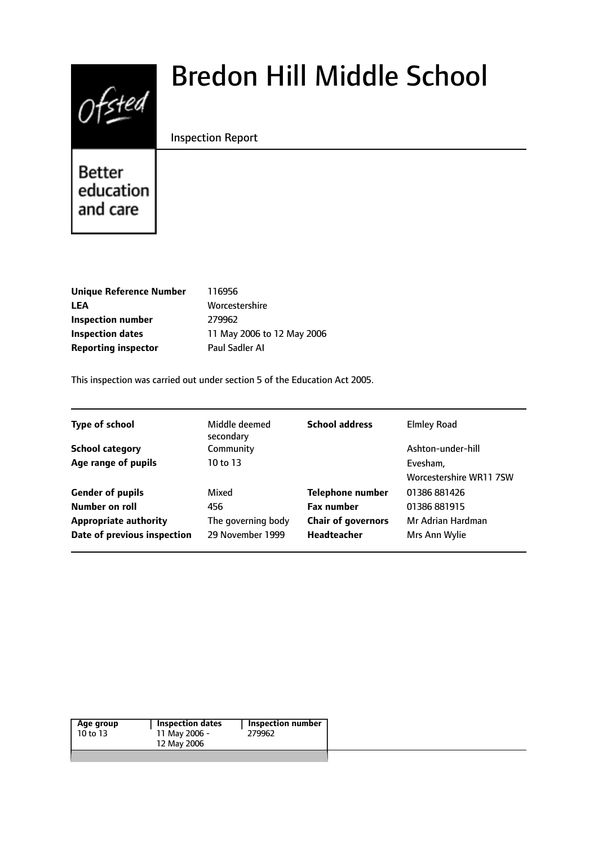

# Bredon Hill Middle School

## Inspection Report

Better education and care

| Unique Reference Number    | 116956                     |
|----------------------------|----------------------------|
| LEA                        | Worcestershire             |
| Inspection number          | 279962                     |
| <b>Inspection dates</b>    | 11 May 2006 to 12 May 2006 |
| <b>Reporting inspector</b> | Paul Sadler Al             |
|                            |                            |

This inspection was carried out under section 5 of the Education Act 2005.

| <b>Type of school</b>        | Middle deemed<br>secondary | <b>School address</b>     | <b>Elmley Road</b>      |
|------------------------------|----------------------------|---------------------------|-------------------------|
| <b>School category</b>       | Community                  |                           | Ashton-under-hill       |
| Age range of pupils          | 10 to 13                   |                           | Evesham,                |
|                              |                            |                           | Worcestershire WR11 7SW |
| <b>Gender of pupils</b>      | Mixed                      | <b>Telephone number</b>   | 01386 881426            |
| Number on roll               | 456                        | <b>Fax number</b>         | 01386 881915            |
| <b>Appropriate authority</b> | The governing body         | <b>Chair of governors</b> | Mr Adrian Hardman       |
| Date of previous inspection  | 29 November 1999           | <b>Headteacher</b>        | Mrs Ann Wylie           |
|                              |                            |                           |                         |

| Age group | <b>Inspection dates</b> | Inspection number |
|-----------|-------------------------|-------------------|
| 10 to 13  | 11 May 2006 -           | 279962            |
|           | 12 May 2006             |                   |
|           |                         |                   |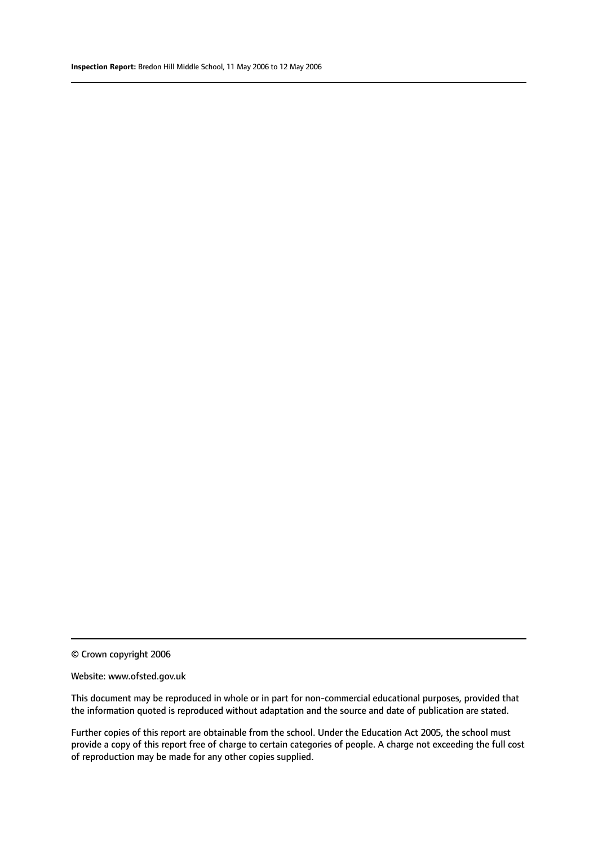© Crown copyright 2006

#### Website: www.ofsted.gov.uk

This document may be reproduced in whole or in part for non-commercial educational purposes, provided that the information quoted is reproduced without adaptation and the source and date of publication are stated.

Further copies of this report are obtainable from the school. Under the Education Act 2005, the school must provide a copy of this report free of charge to certain categories of people. A charge not exceeding the full cost of reproduction may be made for any other copies supplied.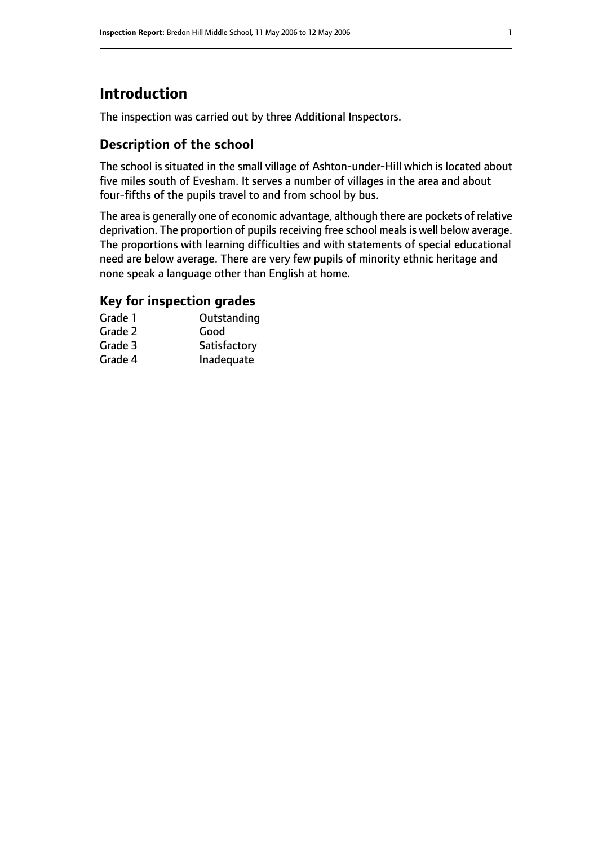# **Introduction**

The inspection was carried out by three Additional Inspectors.

# **Description of the school**

The school is situated in the small village of Ashton-under-Hill which is located about five miles south of Evesham. It serves a number of villages in the area and about four-fifths of the pupils travel to and from school by bus.

The area is generally one of economic advantage, although there are pockets of relative deprivation. The proportion of pupils receiving free school meals is well below average. The proportions with learning difficulties and with statements of special educational need are below average. There are very few pupils of minority ethnic heritage and none speak a language other than English at home.

## **Key for inspection grades**

| Grade 1 | Outstanding  |
|---------|--------------|
| Grade 2 | Good         |
| Grade 3 | Satisfactory |
| Grade 4 | Inadequate   |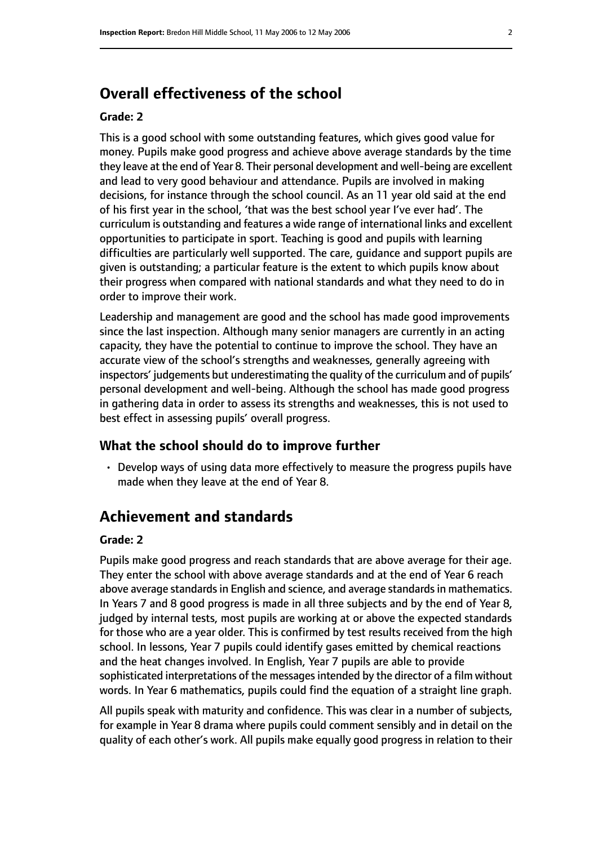# **Overall effectiveness of the school**

#### **Grade: 2**

This is a good school with some outstanding features, which gives good value for money. Pupils make good progress and achieve above average standards by the time they leave at the end of Year 8. Their personal development and well-being are excellent and lead to very good behaviour and attendance. Pupils are involved in making decisions, for instance through the school council. As an 11 year old said at the end of his first year in the school, 'that was the best school year I've ever had'. The curriculum is outstanding and features a wide range of international links and excellent opportunities to participate in sport. Teaching is good and pupils with learning difficulties are particularly well supported. The care, guidance and support pupils are given is outstanding; a particular feature is the extent to which pupils know about their progress when compared with national standards and what they need to do in order to improve their work.

Leadership and management are good and the school has made good improvements since the last inspection. Although many senior managers are currently in an acting capacity, they have the potential to continue to improve the school. They have an accurate view of the school's strengths and weaknesses, generally agreeing with inspectors' judgements but underestimating the quality of the curriculum and of pupils' personal development and well-being. Although the school has made good progress in gathering data in order to assess its strengths and weaknesses, this is not used to best effect in assessing pupils' overall progress.

#### **What the school should do to improve further**

• Develop ways of using data more effectively to measure the progress pupils have made when they leave at the end of Year 8.

# **Achievement and standards**

#### **Grade: 2**

Pupils make good progress and reach standards that are above average for their age. They enter the school with above average standards and at the end of Year 6 reach above average standards in English and science, and average standards in mathematics. In Years 7 and 8 good progress is made in all three subjects and by the end of Year 8, judged by internal tests, most pupils are working at or above the expected standards for those who are a year older. This is confirmed by test results received from the high school. In lessons, Year 7 pupils could identify gases emitted by chemical reactions and the heat changes involved. In English, Year 7 pupils are able to provide sophisticated interpretations of the messages intended by the director of a film without words. In Year 6 mathematics, pupils could find the equation of a straight line graph.

All pupils speak with maturity and confidence. This was clear in a number of subjects, for example in Year 8 drama where pupils could comment sensibly and in detail on the quality of each other's work. All pupils make equally good progress in relation to their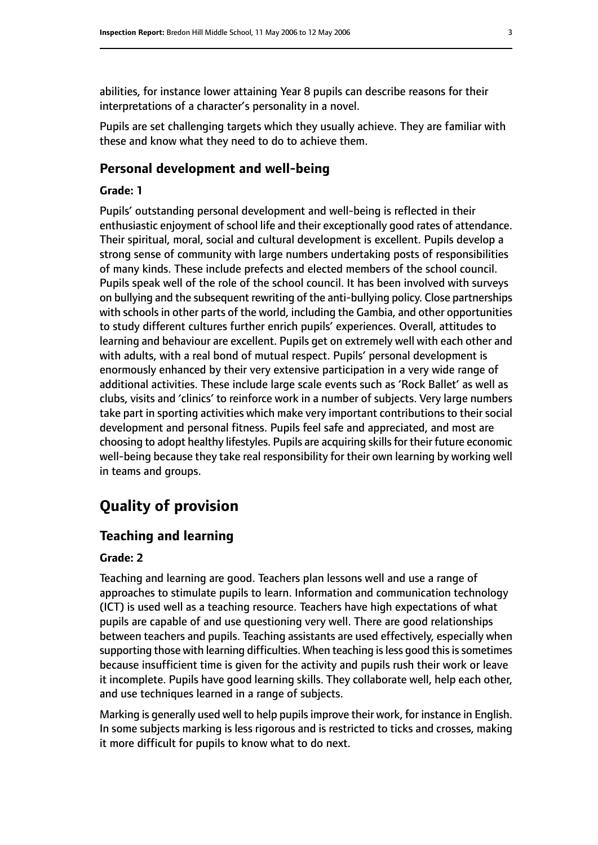abilities, for instance lower attaining Year 8 pupils can describe reasons for their interpretations of a character's personality in a novel.

Pupils are set challenging targets which they usually achieve. They are familiar with these and know what they need to do to achieve them.

#### **Personal development and well-being**

#### **Grade: 1**

Pupils' outstanding personal development and well-being is reflected in their enthusiastic enjoyment of school life and their exceptionally good rates of attendance. Their spiritual, moral, social and cultural development is excellent. Pupils develop a strong sense of community with large numbers undertaking posts of responsibilities of many kinds. These include prefects and elected members of the school council. Pupils speak well of the role of the school council. It has been involved with surveys on bullying and the subsequent rewriting of the anti-bullying policy. Close partnerships with schools in other parts of the world, including the Gambia, and other opportunities to study different cultures further enrich pupils' experiences. Overall, attitudes to learning and behaviour are excellent. Pupils get on extremely well with each other and with adults, with a real bond of mutual respect. Pupils' personal development is enormously enhanced by their very extensive participation in a very wide range of additional activities. These include large scale events such as 'Rock Ballet' as well as clubs, visits and 'clinics' to reinforce work in a number of subjects. Very large numbers take part in sporting activities which make very important contributions to their social development and personal fitness. Pupils feel safe and appreciated, and most are choosing to adopt healthy lifestyles. Pupils are acquiring skills for their future economic well-being because they take real responsibility for their own learning by working well in teams and groups.

# **Quality of provision**

## **Teaching and learning**

#### **Grade: 2**

Teaching and learning are good. Teachers plan lessons well and use a range of approaches to stimulate pupils to learn. Information and communication technology (ICT) is used well as a teaching resource. Teachers have high expectations of what pupils are capable of and use questioning very well. There are good relationships between teachers and pupils. Teaching assistants are used effectively, especially when supporting those with learning difficulties. When teaching is less good this is sometimes because insufficient time is given for the activity and pupils rush their work or leave it incomplete. Pupils have good learning skills. They collaborate well, help each other, and use techniques learned in a range of subjects.

Marking is generally used well to help pupilsimprove their work, for instance in English. In some subjects marking is less rigorous and is restricted to ticks and crosses, making it more difficult for pupils to know what to do next.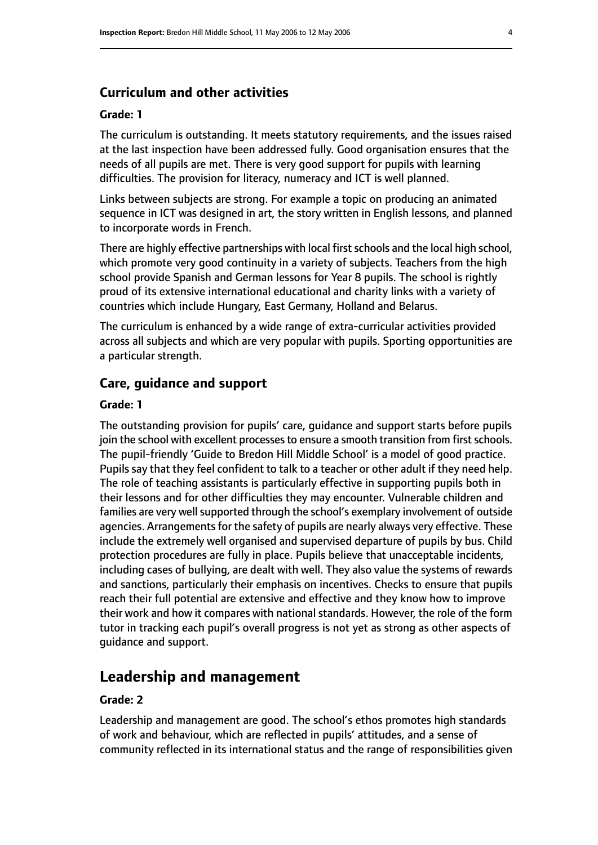## **Curriculum and other activities**

#### **Grade: 1**

The curriculum is outstanding. It meets statutory requirements, and the issues raised at the last inspection have been addressed fully. Good organisation ensures that the needs of all pupils are met. There is very good support for pupils with learning difficulties. The provision for literacy, numeracy and ICT is well planned.

Links between subjects are strong. For example a topic on producing an animated sequence in ICT was designed in art, the story written in English lessons, and planned to incorporate words in French.

There are highly effective partnerships with local first schools and the local high school, which promote very good continuity in a variety of subjects. Teachers from the high school provide Spanish and German lessons for Year 8 pupils. The school is rightly proud of its extensive international educational and charity links with a variety of countries which include Hungary, East Germany, Holland and Belarus.

The curriculum is enhanced by a wide range of extra-curricular activities provided across all subjects and which are very popular with pupils. Sporting opportunities are a particular strength.

#### **Care, guidance and support**

#### **Grade: 1**

The outstanding provision for pupils' care, guidance and support starts before pupils join the school with excellent processes to ensure a smooth transition from first schools. The pupil-friendly 'Guide to Bredon Hill Middle School' is a model of good practice. Pupils say that they feel confident to talk to a teacher or other adult if they need help. The role of teaching assistants is particularly effective in supporting pupils both in their lessons and for other difficulties they may encounter. Vulnerable children and families are very well supported through the school's exemplary involvement of outside agencies. Arrangements for the safety of pupils are nearly always very effective. These include the extremely well organised and supervised departure of pupils by bus. Child protection procedures are fully in place. Pupils believe that unacceptable incidents, including cases of bullying, are dealt with well. They also value the systems of rewards and sanctions, particularly their emphasis on incentives. Checks to ensure that pupils reach their full potential are extensive and effective and they know how to improve their work and how it compares with national standards. However, the role of the form tutor in tracking each pupil's overall progress is not yet as strong as other aspects of guidance and support.

## **Leadership and management**

## **Grade: 2**

Leadership and management are good. The school's ethos promotes high standards of work and behaviour, which are reflected in pupils' attitudes, and a sense of community reflected in its international status and the range of responsibilities given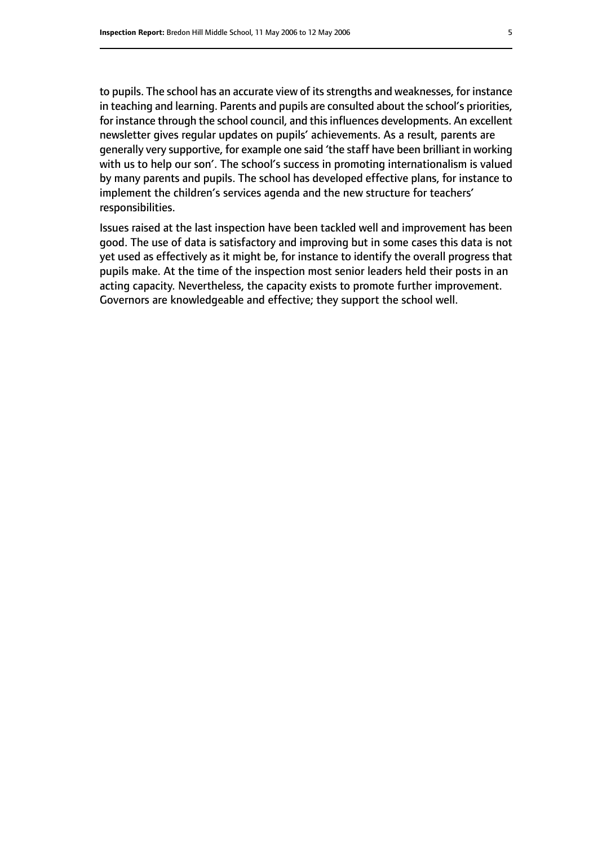to pupils. The school has an accurate view of its strengths and weaknesses, for instance in teaching and learning. Parents and pupils are consulted about the school's priorities, for instance through the school council, and this influences developments. An excellent newsletter gives regular updates on pupils' achievements. As a result, parents are generally very supportive, for example one said 'the staff have been brilliant in working with us to help our son'. The school's success in promoting internationalism is valued by many parents and pupils. The school has developed effective plans, for instance to implement the children's services agenda and the new structure for teachers' responsibilities.

Issues raised at the last inspection have been tackled well and improvement has been good. The use of data is satisfactory and improving but in some cases this data is not yet used as effectively as it might be, for instance to identify the overall progress that pupils make. At the time of the inspection most senior leaders held their posts in an acting capacity. Nevertheless, the capacity exists to promote further improvement. Governors are knowledgeable and effective; they support the school well.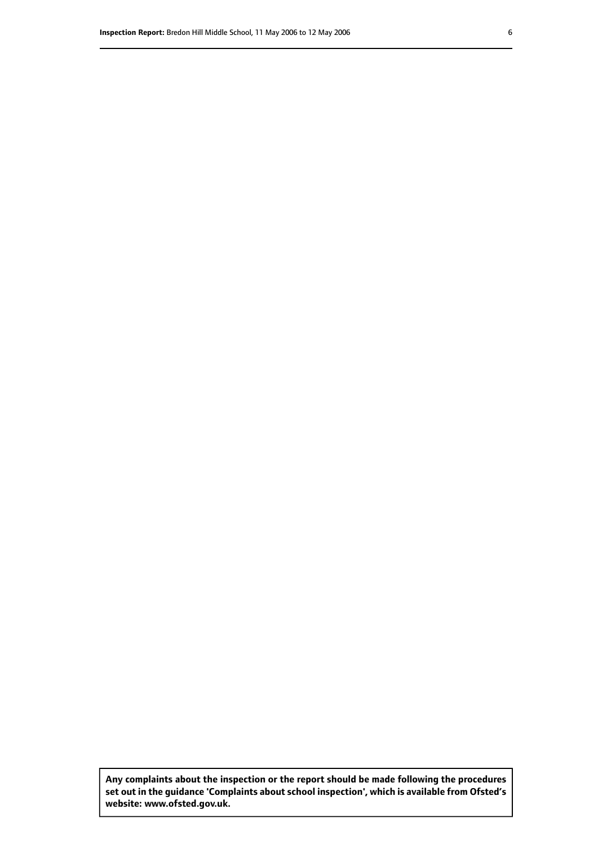**Any complaints about the inspection or the report should be made following the procedures set out inthe guidance 'Complaints about school inspection', whichis available from Ofsted's website: www.ofsted.gov.uk.**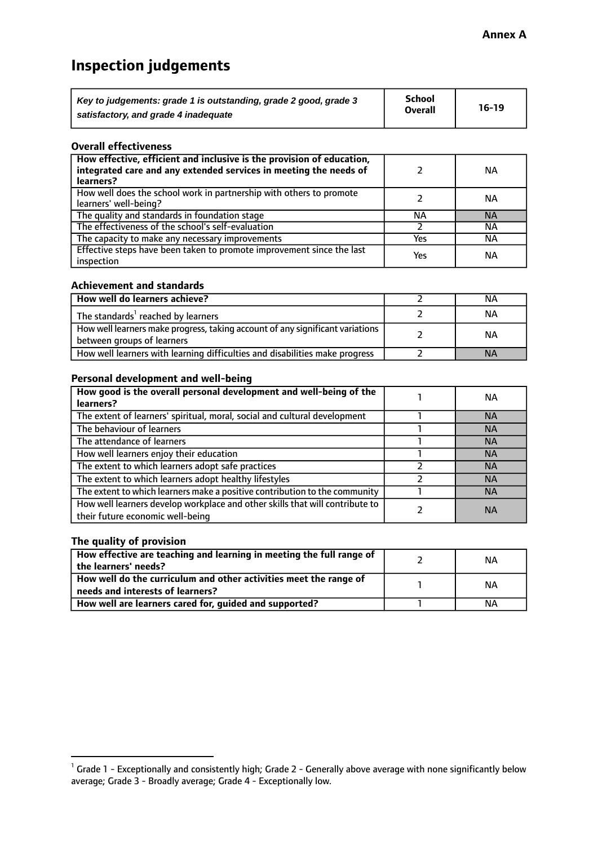# **Inspection judgements**

| Key to judgements: grade 1 is outstanding, grade 2 good, grade 3 | School         | $16-19$ |
|------------------------------------------------------------------|----------------|---------|
| satisfactory, and grade 4 inadequate                             | <b>Overall</b> |         |

#### **Overall effectiveness**

| How effective, efficient and inclusive is the provision of education,<br>integrated care and any extended services in meeting the needs of<br>learners? |     | <b>NA</b> |
|---------------------------------------------------------------------------------------------------------------------------------------------------------|-----|-----------|
| How well does the school work in partnership with others to promote<br>learners' well-being?                                                            |     | ΝA        |
| The quality and standards in foundation stage                                                                                                           | ΝA  | <b>NA</b> |
| The effectiveness of the school's self-evaluation                                                                                                       |     | ΝA        |
| The capacity to make any necessary improvements                                                                                                         | Yes | NА        |
| Effective steps have been taken to promote improvement since the last<br>inspection                                                                     | Yes | <b>NA</b> |

#### **Achievement and standards**

| How well do learners achieve?                                                                               | ΝA        |
|-------------------------------------------------------------------------------------------------------------|-----------|
| The standards <sup>1</sup> reached by learners                                                              | NА        |
| How well learners make progress, taking account of any significant variations<br>between groups of learners | <b>NA</b> |
| How well learners with learning difficulties and disabilities make progress                                 | <b>NA</b> |

## **Personal development and well-being**

| How good is the overall personal development and well-being of the<br>learners?                                  | ΝA        |
|------------------------------------------------------------------------------------------------------------------|-----------|
| The extent of learners' spiritual, moral, social and cultural development                                        | <b>NA</b> |
| The behaviour of learners                                                                                        | <b>NA</b> |
| The attendance of learners                                                                                       | <b>NA</b> |
| How well learners enjoy their education                                                                          | <b>NA</b> |
| The extent to which learners adopt safe practices                                                                | <b>NA</b> |
| The extent to which learners adopt healthy lifestyles                                                            | <b>NA</b> |
| The extent to which learners make a positive contribution to the community                                       | <b>NA</b> |
| How well learners develop workplace and other skills that will contribute to<br>their future economic well-being | <b>NA</b> |

## **The quality of provision**

| How effective are teaching and learning in meeting the full range of<br>the learners' needs?          | ΝA |
|-------------------------------------------------------------------------------------------------------|----|
| How well do the curriculum and other activities meet the range of<br>needs and interests of learners? | ΝA |
| How well are learners cared for, guided and supported?                                                | NА |

 $^1$  Grade 1 - Exceptionally and consistently high; Grade 2 - Generally above average with none significantly below average; Grade 3 - Broadly average; Grade 4 - Exceptionally low.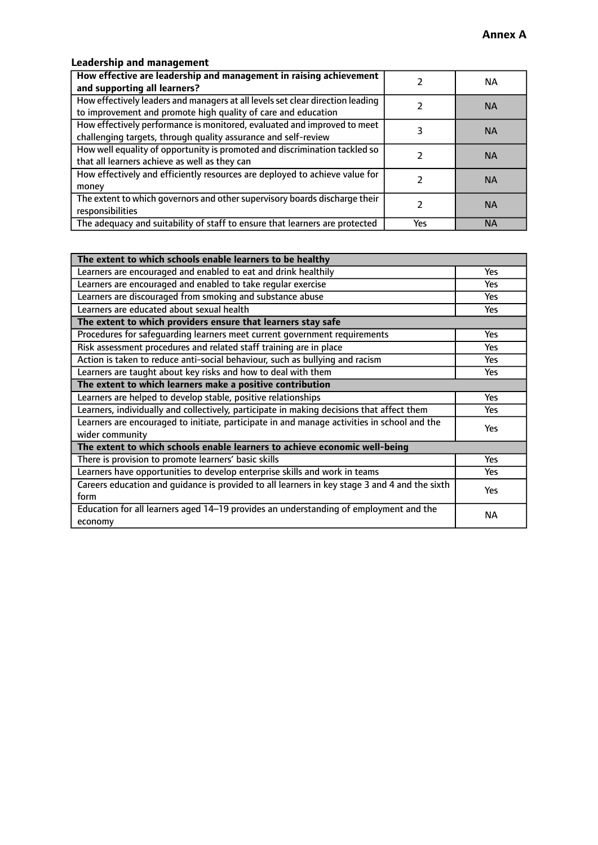# **Leadership and management**

| How effective are leadership and management in raising achievement<br>and supporting all learners?                                              |     | NA.       |
|-------------------------------------------------------------------------------------------------------------------------------------------------|-----|-----------|
| How effectively leaders and managers at all levels set clear direction leading<br>to improvement and promote high quality of care and education |     | <b>NA</b> |
| How effectively performance is monitored, evaluated and improved to meet<br>challenging targets, through quality assurance and self-review      |     | <b>NA</b> |
| How well equality of opportunity is promoted and discrimination tackled so<br>that all learners achieve as well as they can                     |     | <b>NA</b> |
| How effectively and efficiently resources are deployed to achieve value for<br>money                                                            |     | <b>NA</b> |
| The extent to which governors and other supervisory boards discharge their<br>responsibilities                                                  |     | <b>NA</b> |
| The adequacy and suitability of staff to ensure that learners are protected                                                                     | Yes | <b>NA</b> |

| The extent to which schools enable learners to be healthy                                     |            |
|-----------------------------------------------------------------------------------------------|------------|
| Learners are encouraged and enabled to eat and drink healthily                                | Yes        |
| Learners are encouraged and enabled to take regular exercise                                  | Yes        |
| Learners are discouraged from smoking and substance abuse                                     | <b>Yes</b> |
| Learners are educated about sexual health                                                     | <b>Yes</b> |
| The extent to which providers ensure that learners stay safe                                  |            |
| Procedures for safequarding learners meet current government requirements                     | Yes        |
| Risk assessment procedures and related staff training are in place                            | Yes        |
| Action is taken to reduce anti-social behaviour, such as bullying and racism                  | Yes        |
| Learners are taught about key risks and how to deal with them                                 |            |
| The extent to which learners make a positive contribution                                     |            |
| Learners are helped to develop stable, positive relationships                                 | Yes        |
| Learners, individually and collectively, participate in making decisions that affect them     | Yes        |
| Learners are encouraged to initiate, participate in and manage activities in school and the   | <b>Yes</b> |
| wider community                                                                               |            |
| The extent to which schools enable learners to achieve economic well-being                    |            |
| There is provision to promote learners' basic skills                                          | Yes        |
| Learners have opportunities to develop enterprise skills and work in teams                    | Yes        |
| Careers education and guidance is provided to all learners in key stage 3 and 4 and the sixth | <b>Yes</b> |
| form                                                                                          |            |
| Education for all learners aged 14-19 provides an understanding of employment and the         | NА         |
| economy                                                                                       |            |